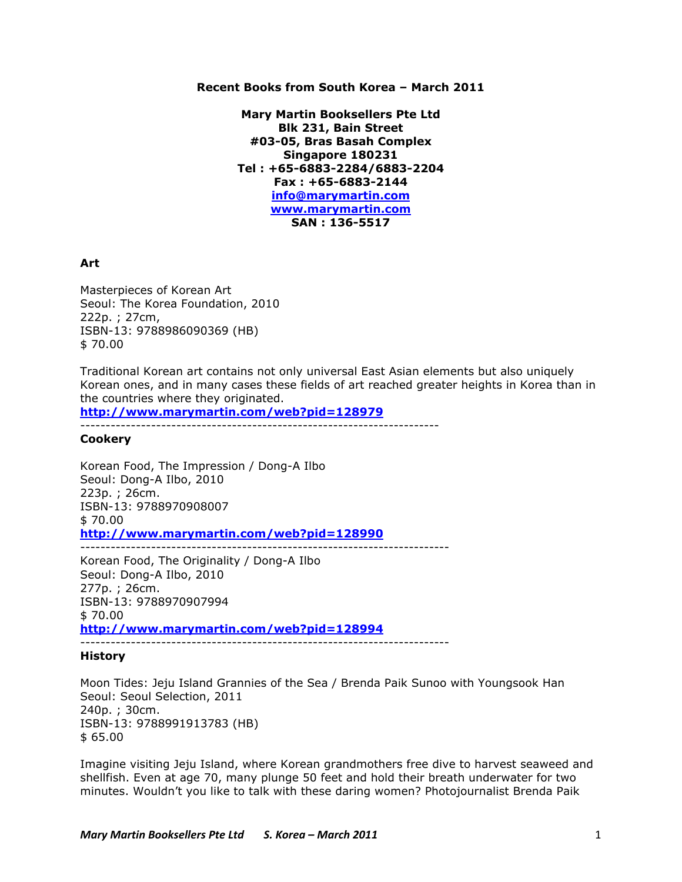# **Recent Books from South Korea – March 2011**

**Mary Martin Booksellers Pte Ltd Blk 231, Bain Street #03-05, Bras Basah Complex Singapore 180231 Tel : +65-6883-2284/6883-2204 Fax : +65-6883-2144 info@marymartin.com www.marymartin.com SAN : 136-5517**

# **Art**

Masterpieces of Korean Art Seoul: The Korea Foundation, 2010 222p. ; 27cm, ISBN-13: 9788986090369 (HB) \$ 70.00

Traditional Korean art contains not only universal East Asian elements but also uniquely Korean ones, and in many cases these fields of art reached greater heights in Korea than in the countries where they originated.

**http://www.marymartin.com/web?pid=128979**

-----------------------------------------------------------------------

# **Cookery**

Korean Food, The Impression / Dong-A Ilbo Seoul: Dong-A Ilbo, 2010 223p. ; 26cm. ISBN-13: 9788970908007 \$ 70.00 **http://www.marymartin.com/web?pid=128990** -------------------------------------------------------------------------

Korean Food, The Originality / Dong-A Ilbo Seoul: Dong-A Ilbo, 2010 277p. ; 26cm. ISBN-13: 9788970907994  $$70.00$ **http://www.marymartin.com/web?pid=128994**

-------------------------------------------------------------------------

# **History**

Moon Tides: Jeju Island Grannies of the Sea / Brenda Paik Sunoo with Youngsook Han Seoul: Seoul Selection, 2011 240p. ; 30cm. ISBN-13: 9788991913783 (HB) \$ 65.00

Imagine visiting Jeju Island, where Korean grandmothers free dive to harvest seaweed and shellfish. Even at age 70, many plunge 50 feet and hold their breath underwater for two minutes. Wouldn't you like to talk with these daring women? Photojournalist Brenda Paik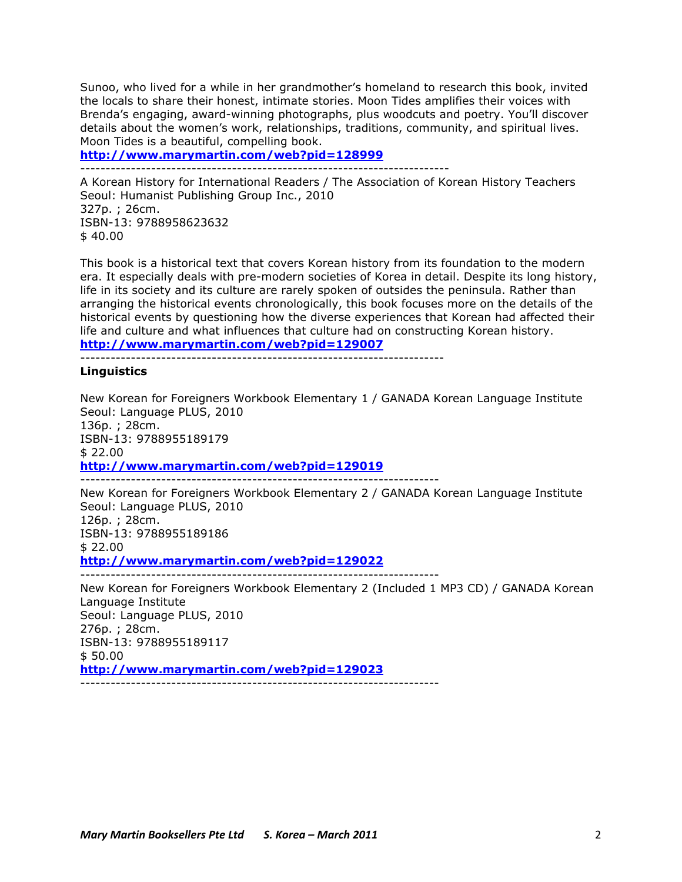Sunoo, who lived for a while in her grandmother's homeland to research this book, invited the locals to share their honest, intimate stories. Moon Tides amplifies their voices with Brenda's engaging, award-winning photographs, plus woodcuts and poetry. You'll discover details about the women's work, relationships, traditions, community, and spiritual lives. Moon Tides is a beautiful, compelling book.

**http://www.marymartin.com/web?pid=128999**

-------------------------------------------------------------------------

A Korean History for International Readers / The Association of Korean History Teachers Seoul: Humanist Publishing Group Inc., 2010 327p. ; 26cm. ISBN-13: 9788958623632 \$ 40.00

This book is a historical text that covers Korean history from its foundation to the modern era. It especially deals with pre-modern societies of Korea in detail. Despite its long history, life in its society and its culture are rarely spoken of outsides the peninsula. Rather than arranging the historical events chronologically, this book focuses more on the details of the historical events by questioning how the diverse experiences that Korean had affected their life and culture and what influences that culture had on constructing Korean history. **http://www.marymartin.com/web?pid=129007**

------------------------------------------------------------------------

#### **Linguistics**

New Korean for Foreigners Workbook Elementary 1 / GANADA Korean Language Institute Seoul: Language PLUS, 2010 136p. ; 28cm. ISBN-13: 9788955189179 \$ 22.00 **http://www.marymartin.com/web?pid=129019** -----------------------------------------------------------------------

New Korean for Foreigners Workbook Elementary 2 / GANADA Korean Language Institute Seoul: Language PLUS, 2010 126p. ; 28cm. ISBN-13: 9788955189186 \$ 22.00 **http://www.marymartin.com/web?pid=129022** -----------------------------------------------------------------------

New Korean for Foreigners Workbook Elementary 2 (Included 1 MP3 CD) / GANADA Korean Language Institute Seoul: Language PLUS, 2010 276p. ; 28cm. ISBN-13: 9788955189117 \$ 50.00 **http://www.marymartin.com/web?pid=129023**

-----------------------------------------------------------------------